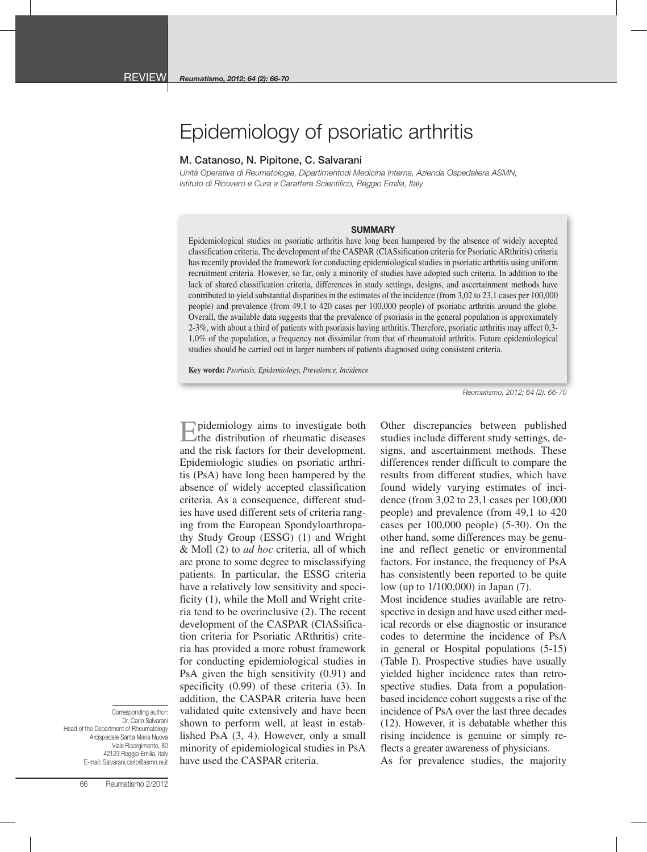## Epidemiology of psoriatic arthritis

## M. Catanoso, N. Pipitone, C. Salvarani

*Unità Operativa di Reumatologia, Dipartimentodi Medicina Interna, Azienda Ospedaliera ASMN, Istituto di Ricovero e Cura a Carattere Scientifico, Reggio Emilia, Italy*

## **SUMMARY**

Epidemiological studies on psoriatic arthritis have long been hampered by the absence of widely accepted classification criteria. The development of the CASPAR (ClASsification criteria for Psoriatic ARthritis) criteria has recently provided the framework for conducting epidemiological studies in psoriatic arthritis using uniform recruitment criteria. However, so far, only a minority of studies have adopted such criteria. In addition to the lack of shared classification criteria, differences in study settings, designs, and ascertainment methods have contributed to yield substantial disparities in the estimates of the incidence (from 3,02 to 23,1 cases per 100,000 people) and prevalence (from 49,1 to 420 cases per 100,000 people) of psoriatic arthritis around the globe. Overall, the available data suggests that the prevalence of psoriasis in the general population is approximately 2-3%, with about a third of patients with psoriasis having arthritis. Therefore, psoriatic arthritis may affect 0,3- 1,0% of the population, a frequency not dissimilar from that of rheumatoid arthritis. Future epidemiological studies should be carried out in larger numbers of patients diagnosed using consistent criteria.

**Key words:** *Psoriasis, Epidemiology, Prevalence, Incidence*

*Reumatismo, 2012; 64 (2): 66-70*

Epidemiology aims to investigate both the distribution of rheumatic diseases and the risk factors for their development. Epidemiologic studies on psoriatic arthritis (PsA) have long been hampered by the absence of widely accepted classification criteria. As a consequence, different studies have used different sets of criteria ranging from the European Spondyloarthropathy Study Group (ESSG) (1) and Wright & Moll (2) to *ad hoc* criteria, all of which are prone to some degree to misclassifying patients. In particular, the ESSG criteria have a relatively low sensitivity and specificity (1), while the Moll and Wright criteria tend to be overinclusive (2). The recent development of the CASPAR (ClASsification criteria for Psoriatic ARthritis) criteria has provided a more robust framework for conducting epidemiological studies in PsA given the high sensitivity (0.91) and specificity (0.99) of these criteria (3). In addition, the CASPAR criteria have been validated quite extensively and have been shown to perform well, at least in established PsA (3, 4). However, only a small minority of epidemiological studies in PsA have used the CASPAR criteria.

Other discrepancies between published studies include different study settings, designs, and ascertainment methods. These differences render difficult to compare the results from different studies, which have found widely varying estimates of incidence (from 3,02 to 23,1 cases per 100,000 people) and prevalence (from 49,1 to 420 cases per 100,000 people) (5-30). On the other hand, some differences may be genuine and reflect genetic or environmental factors. For instance, the frequency of PsA has consistently been reported to be quite low (up to 1/100,000) in Japan (7).

Most incidence studies available are retrospective in design and have used either medical records or else diagnostic or insurance codes to determine the incidence of PsA in general or Hospital populations (5-15) (Table I). Prospective studies have usually yielded higher incidence rates than retrospective studies. Data from a populationbased incidence cohort suggests a rise of the incidence of PsA over the last three decades (12). However, it is debatable whether this rising incidence is genuine or simply reflects a greater awareness of physicians.

Corresponding author: Dr. Carlo Salvarani Head of the Department of Rheumatology Arcispedale Santa Maria Nuova Viale Risorgimento, 80 42123 Reggio Emilia, Italy E-mail: Salvarani.carlo@asmn.re.it

As for prevalence studies, the majority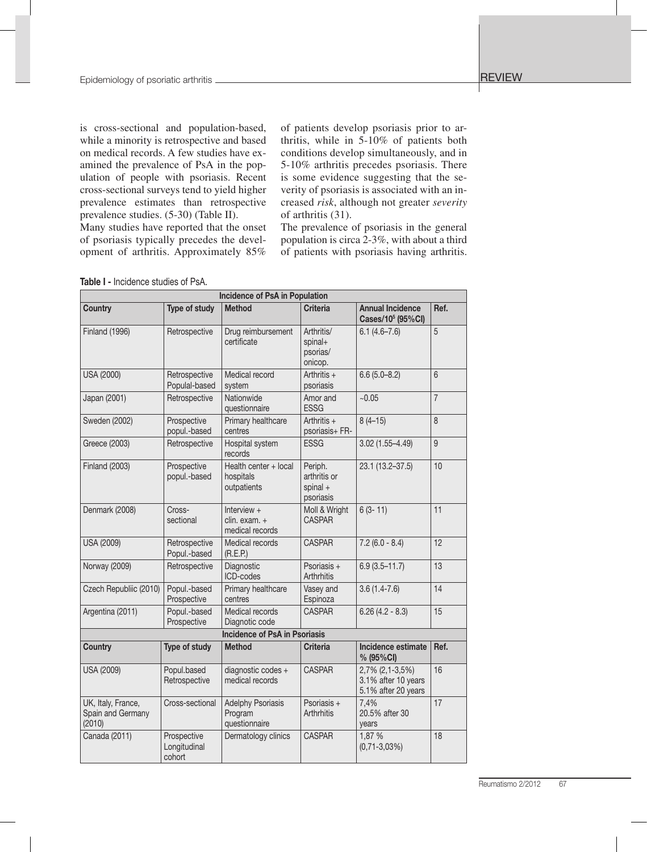is cross-sectional and population-based, while a minority is retrospective and based on medical records. A few studies have examined the prevalence of PsA in the population of people with psoriasis. Recent cross-sectional surveys tend to yield higher prevalence estimates than retrospective prevalence studies. (5-30) (Table II).

Many studies have reported that the onset of psoriasis typically precedes the development of arthritis. Approximately 85%

of patients develop psoriasis prior to arthritis, while in 5-10% of patients both conditions develop simultaneously, and in 5-10% arthritis precedes psoriasis. There is some evidence suggesting that the severity of psoriasis is associated with an increased *risk*, although not greater *severity*  of arthritis (31).

The prevalence of psoriasis in the general population is circa 2-3%, with about a third of patients with psoriasis having arthritis.

|  | <b>Table I -</b> Incidence studies of PsA. |  |  |  |
|--|--------------------------------------------|--|--|--|
|--|--------------------------------------------|--|--|--|

|                                                   |                                       | <b>Incidence of PsA in Population</b>                |                                                    |                                                               |                |
|---------------------------------------------------|---------------------------------------|------------------------------------------------------|----------------------------------------------------|---------------------------------------------------------------|----------------|
| <b>Country</b>                                    | Type of study                         | <b>Method</b>                                        | <b>Criteria</b>                                    | <b>Annual Incidence</b><br>Cases/10 <sup>5</sup> (95%CI)      | Ref.           |
| <b>Finland (1996)</b>                             | Retrospective                         | Drug reimbursement<br>certificate                    | Arthritis/<br>spinal+<br>psorias/<br>onicop.       | $6.1(4.6 - 7.6)$                                              | 5              |
| USA (2000)                                        | Retrospective<br>Populal-based        | Medical record<br>system                             | Arthritis $+$<br>psoriasis                         | $6.6(5.0 - 8.2)$                                              | 6              |
| Japan (2001)                                      | Retrospective                         | Nationwide<br>questionnaire                          | Amor and<br><b>ESSG</b>                            | ~10.05                                                        | $\overline{7}$ |
| Sweden (2002)                                     | Prospective<br>popul.-based           | Primary healthcare<br>centres                        | Arthritis $+$<br>psoriasis+ FR-                    | $8(4-15)$                                                     | 8              |
| Greece (2003)                                     | Retrospective                         | Hospital system<br>records                           | <b>ESSG</b>                                        | $3.02(1.55 - 4.49)$                                           | 9              |
| <b>Finland (2003)</b>                             | Prospective<br>popul.-based           | Health center + local<br>hospitals<br>outpatients    | Periph.<br>arthritis or<br>spinal $+$<br>psoriasis | 23.1 (13.2-37.5)                                              | 10             |
| Denmark (2008)                                    | Cross-<br>sectional                   | Interview $+$<br>clin. exam. +<br>medical records    | Moll & Wright<br><b>CASPAR</b>                     | $6(3 - 11)$                                                   | 11             |
| <b>USA (2009)</b>                                 | Retrospective<br>Popul.-based         | Medical records<br>(R.E.P.)                          | <b>CASPAR</b>                                      | $7.2(6.0 - 8.4)$                                              | 12             |
| Norway (2009)                                     | Retrospective                         | Diagnostic<br>ICD-codes                              | Psoriasis +<br>Arthrhitis                          | $6.9(3.5 - 11.7)$                                             | 13             |
| Czech Republiic (2010)                            | Popul.-based<br>Prospective           | Primary healthcare<br>centres                        | Vasey and<br>Espinoza                              | $3.6(1.4-7.6)$                                                | 14             |
| Argentina (2011)                                  | Popul.-based<br>Prospective           | Medical records<br>Diagnotic code                    | <b>CASPAR</b>                                      | $6.26(4.2 - 8.3)$                                             | 15             |
|                                                   |                                       | <b>Incidence of PsA in Psoriasis</b>                 |                                                    |                                                               |                |
| <b>Country</b>                                    | Type of study                         | <b>Method</b>                                        | <b>Criteria</b>                                    | Incidence estimate<br>% (95%CI)                               | Ref.           |
| USA (2009)                                        | Popul, based<br>Retrospective         | diagnostic codes +<br>medical records                | <b>CASPAR</b>                                      | 2,7% (2,1-3,5%)<br>3.1% after 10 years<br>5.1% after 20 years | 16             |
| UK, Italy, France,<br>Spain and Germany<br>(2010) | Cross-sectional                       | <b>Adelphy Psoriasis</b><br>Program<br>questionnaire | Psoriasis +<br>Arthrhitis                          | 7,4%<br>20.5% after 30<br>years                               | 17             |
| Canada (2011)                                     | Prospective<br>Longitudinal<br>cohort | Dermatology clinics                                  | <b>CASPAR</b>                                      | 1,87 %<br>$(0, 71 - 3, 03\%)$                                 | 18             |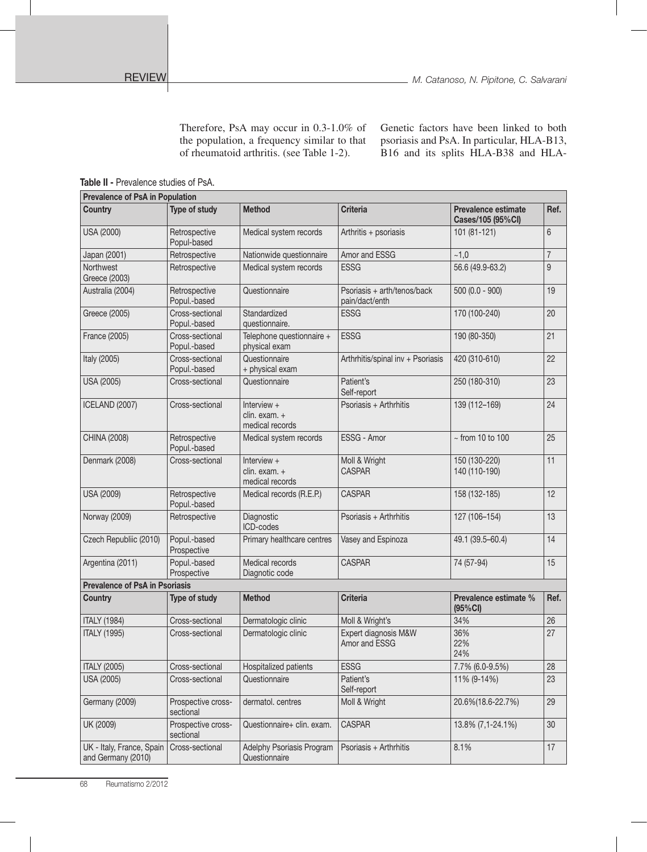Therefore, PsA may occur in 0.3-1.0% of the population, a frequency similar to that of rheumatoid arthritis. (see Table 1-2).

Genetic factors have been linked to both psoriasis and PsA. In particular, HLA-B13, B16 and its splits HLA-B38 and HLA-

Table II - Prevalence studies of PsA.

| <b>Prevalence of PsA in Population</b>          |                                 |                                                   |                                               |                                          |                |
|-------------------------------------------------|---------------------------------|---------------------------------------------------|-----------------------------------------------|------------------------------------------|----------------|
| <b>Country</b>                                  | Type of study                   | <b>Method</b>                                     | <b>Criteria</b>                               | Prevalence estimate<br>Cases/105 (95%CI) | Ref.           |
| USA (2000)                                      | Retrospective<br>Popul-based    | Medical system records                            | Arthritis + psoriasis                         | 101 (81-121)                             | 6              |
| Japan (2001)                                    | Retrospective                   | Nationwide questionnaire                          | Amor and ESSG                                 | ~1,0                                     | $\overline{7}$ |
| <b>Northwest</b><br>Greece (2003)               | Retrospective                   | Medical system records                            | <b>ESSG</b>                                   | 56.6 (49.9-63.2)                         | 9              |
| Australia (2004)                                | Retrospective<br>Popul.-based   | Questionnaire                                     | Psoriasis + arth/tenos/back<br>pain/dact/enth | $500(0.0 - 900)$                         | 19             |
| Greece (2005)                                   | Cross-sectional<br>Popul.-based | Standardized<br>questionnaire.                    | <b>ESSG</b>                                   | 170 (100-240)                            | 20             |
| France (2005)                                   | Cross-sectional<br>Popul.-based | Telephone questionnaire +<br>physical exam        | <b>ESSG</b>                                   | 190 (80-350)                             | 21             |
| Italy (2005)                                    | Cross-sectional<br>Popul.-based | Questionnaire<br>+ physical exam                  | Arthrhitis/spinal inv + Psoriasis             | 420 (310-610)                            | 22             |
| USA (2005)                                      | Cross-sectional                 | Questionnaire                                     | Patient's<br>Self-report                      | 250 (180-310)                            | 23             |
| ICELAND (2007)                                  | Cross-sectional                 | Interview $+$<br>clin. exam. +<br>medical records | Psoriasis + Arthrhitis                        | 139 (112-169)                            | 24             |
| CHINA (2008)                                    | Retrospective<br>Popul.-based   | Medical system records                            | ESSG - Amor                                   | $\sim$ from 10 to 100                    | 25             |
| Denmark (2008)                                  | Cross-sectional                 | Interview $+$<br>clin. exam. +<br>medical records | Moll & Wright<br><b>CASPAR</b>                | 150 (130-220)<br>140 (110-190)           | 11             |
| <b>USA (2009)</b>                               | Retrospective<br>Popul.-based   | Medical records (R.E.P.)                          | <b>CASPAR</b>                                 | 158 (132-185)                            | 12             |
| Norway (2009)                                   | Retrospective                   | Diagnostic<br>ICD-codes                           | Psoriasis + Arthrhitis                        | 127 (106-154)                            | 13             |
| Czech Republiic (2010)                          | Popul.-based<br>Prospective     | Primary healthcare centres                        | Vasey and Espinoza                            | 49.1 (39.5-60.4)                         | 14             |
| Argentina (2011)                                | Popul.-based<br>Prospective     | Medical records<br>Diagnotic code                 | <b>CASPAR</b>                                 | 74 (57-94)                               | 15             |
| <b>Prevalence of PsA in Psoriasis</b>           |                                 |                                                   |                                               |                                          |                |
| <b>Country</b>                                  | Type of study                   | <b>Method</b>                                     | <b>Criteria</b>                               | Prevalence estimate %<br>(95%CI)         | Ref.           |
| <b>ITALY (1984)</b>                             | Cross-sectional                 | Dermatologic clinic                               | Moll & Wright's                               | 34%                                      | 26             |
| <b>ITALY (1995)</b>                             | Cross-sectional                 | Dermatologic clinic                               | Expert diagnosis M&W<br>Amor and ESSG         | 36%<br>22%<br>24%                        | 27             |
| <b>ITALY (2005)</b>                             | Cross-sectional                 | Hospitalized patients                             | <b>ESSG</b>                                   | 7.7% (6.0-9.5%)                          | 28             |
| USA (2005)                                      | Cross-sectional                 | Questionnaire                                     | Patient's<br>Self-report                      | 11% (9-14%)                              | 23             |
| Germany (2009)                                  | Prospective cross-<br>sectional | dermatol. centres                                 | Moll & Wright                                 | 20.6%(18.6-22.7%)                        | 29             |
| UK (2009)                                       | Prospective cross-<br>sectional | Questionnaire+ clin. exam.                        | <b>CASPAR</b>                                 | 13.8% (7,1-24.1%)                        | 30             |
| UK - Italy, France, Spain<br>and Germany (2010) | Cross-sectional                 | Adelphy Psoriasis Program<br>Questionnaire        | Psoriasis + Arthrhitis                        | 8.1%                                     | 17             |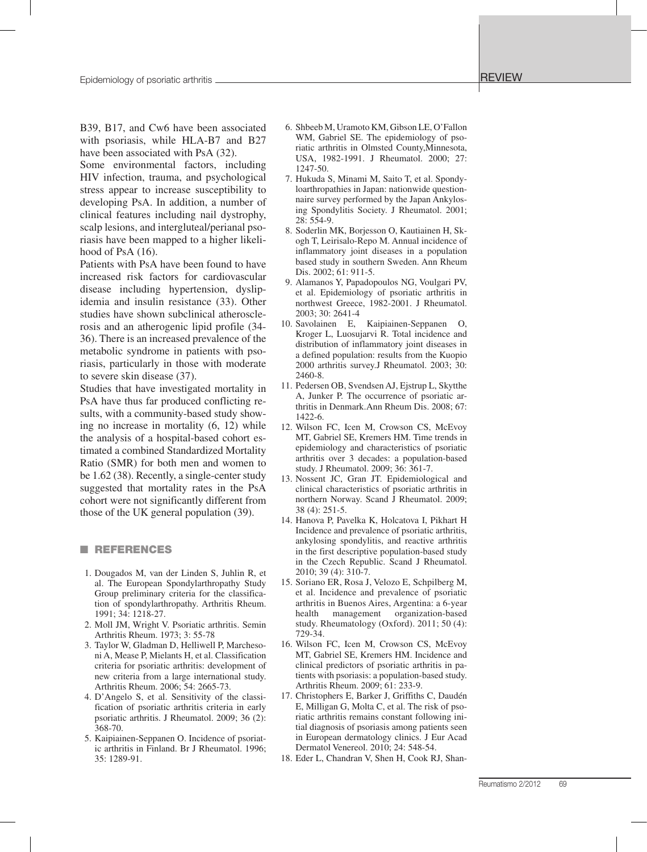B39, B17, and Cw6 have been associated with psoriasis, while HLA-B7 and B27 have been associated with PsA (32).

Some environmental factors, including HIV infection, trauma, and psychological stress appear to increase susceptibility to developing PsA. In addition, a number of clinical features including nail dystrophy, scalp lesions, and intergluteal/perianal psoriasis have been mapped to a higher likelihood of PsA  $(16)$ .

Patients with PsA have been found to have increased risk factors for cardiovascular disease including hypertension, dyslipidemia and insulin resistance (33). Other studies have shown subclinical atherosclerosis and an atherogenic lipid profile (34- 36). There is an increased prevalence of the metabolic syndrome in patients with psoriasis, particularly in those with moderate to severe skin disease (37).

Studies that have investigated mortality in PsA have thus far produced conflicting results, with a community-based study showing no increase in mortality (6, 12) while the analysis of a hospital-based cohort estimated a combined Standardized Mortality Ratio (SMR) for both men and women to be 1.62 (38). Recently, a single-center study suggested that mortality rates in the PsA cohort were not significantly different from those of the UK general population (39).

## **NEFERENCES**

- 1. Dougados M, van der Linden S, Juhlin R, et al. The European Spondylarthropathy Study Group preliminary criteria for the classification of spondylarthropathy. Arthritis Rheum. 1991; 34: 1218-27.
- 2. Moll JM, Wright V. Psoriatic arthritis. Semin Arthritis Rheum. 1973; 3: 55-78
- 3. Taylor W, Gladman D, Helliwell P, Marchesoni A, Mease P, Mielants H, et al. Classification criteria for psoriatic arthritis: development of new criteria from a large international study. Arthritis Rheum. 2006; 54: 2665-73.
- 4. D'Angelo S, et al. Sensitivity of the classification of psoriatic arthritis criteria in early psoriatic arthritis. J Rheumatol. 2009; 36 (2): 368-70.
- 5. Kaipiainen-Seppanen O. Incidence of psoriatic arthritis in Finland. Br J Rheumatol. 1996; 35: 1289-91.
- 6. Shbeeb M, Uramoto KM, Gibson LE, O'Fallon WM, Gabriel SE. The epidemiology of psoriatic arthritis in Olmsted County,Minnesota, USA, 1982-1991. J Rheumatol. 2000; 27: 1247-50.
- 7. Hukuda S, Minami M, Saito T, et al. Spondyloarthropathies in Japan: nationwide questionnaire survey performed by the Japan Ankylosing Spondylitis Society. J Rheumatol. 2001; 28: 554-9.
- 8. Soderlin MK, Borjesson O, Kautiainen H, Skogh T, Leirisalo-Repo M. Annual incidence of inflammatory joint diseases in a population based study in southern Sweden. Ann Rheum Dis. 2002; 61: 911-5.
- 9. Alamanos Y, Papadopoulos NG, Voulgari PV, et al. Epidemiology of psoriatic arthritis in northwest Greece, 1982-2001. J Rheumatol. 2003; 30: 2641-4
- 10. Savolainen E, Kaipiainen-Seppanen O, Kroger L, Luosujarvi R. Total incidence and distribution of inflammatory joint diseases in a defined population: results from the Kuopio 2000 arthritis survey.J Rheumatol. 2003; 30: 2460-8.
- 11. Pedersen OB, Svendsen AJ, Ejstrup L, Skytthe A, Junker P. The occurrence of psoriatic arthritis in Denmark.Ann Rheum Dis. 2008; 67: 1422-6.
- 12. Wilson FC, Icen M, Crowson CS, McEvoy MT, Gabriel SE, Kremers HM. Time trends in epidemiology and characteristics of psoriatic arthritis over 3 decades: a population-based study. J Rheumatol. 2009; 36: 361-7.
- 13. Nossent JC, Gran JT. Epidemiological and clinical characteristics of psoriatic arthritis in northern Norway. Scand J Rheumatol. 2009; 38 (4): 251-5.
- 14. Hanova P, Pavelka K, Holcatova I, Pikhart H Incidence and prevalence of psoriatic arthritis, ankylosing spondylitis, and reactive arthritis in the first descriptive population-based study in the Czech Republic. Scand J Rheumatol. 2010; 39 (4): 310-7.
- 15. Soriano ER, Rosa J, Velozo E, Schpilberg M, et al. Incidence and prevalence of psoriatic arthritis in Buenos Aires, Argentina: a 6-year health management organization-based study. Rheumatology (Oxford). 2011; 50 (4): 729-34.
- 16. Wilson FC, Icen M, Crowson CS, McEvoy MT, Gabriel SE, Kremers HM. Incidence and clinical predictors of psoriatic arthritis in patients with psoriasis: a population-based study. Arthritis Rheum. 2009; 61: 233-9.
- 17. Christophers E, Barker J, Griffiths C, Daudén E, Milligan G, Molta C, et al. The risk of psoriatic arthritis remains constant following initial diagnosis of psoriasis among patients seen in European dermatology clinics. J Eur Acad Dermatol Venereol. 2010; 24: 548-54.
- 18. Eder L, Chandran V, Shen H, Cook RJ, Shan-